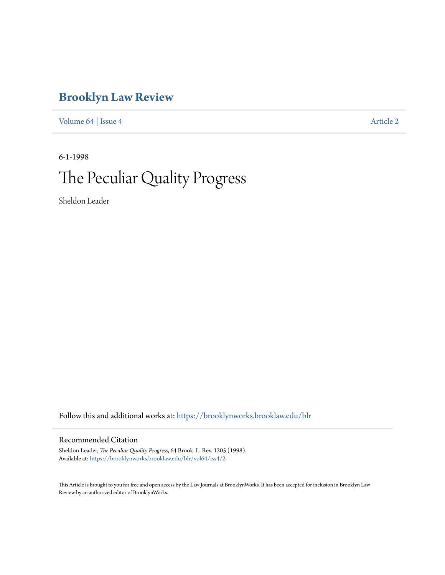# **[Brooklyn Law Review](https://brooklynworks.brooklaw.edu/blr?utm_source=brooklynworks.brooklaw.edu%2Fblr%2Fvol64%2Fiss4%2F2&utm_medium=PDF&utm_campaign=PDFCoverPages)**

[Volume 64](https://brooklynworks.brooklaw.edu/blr/vol64?utm_source=brooklynworks.brooklaw.edu%2Fblr%2Fvol64%2Fiss4%2F2&utm_medium=PDF&utm_campaign=PDFCoverPages) | [Issue 4](https://brooklynworks.brooklaw.edu/blr/vol64/iss4?utm_source=brooklynworks.brooklaw.edu%2Fblr%2Fvol64%2Fiss4%2F2&utm_medium=PDF&utm_campaign=PDFCoverPages) [Article 2](https://brooklynworks.brooklaw.edu/blr/vol64/iss4/2?utm_source=brooklynworks.brooklaw.edu%2Fblr%2Fvol64%2Fiss4%2F2&utm_medium=PDF&utm_campaign=PDFCoverPages)

# 6-1-1998 The Peculiar Quality Progress

Sheldon Leader

Follow this and additional works at: [https://brooklynworks.brooklaw.edu/blr](https://brooklynworks.brooklaw.edu/blr?utm_source=brooklynworks.brooklaw.edu%2Fblr%2Fvol64%2Fiss4%2F2&utm_medium=PDF&utm_campaign=PDFCoverPages)

## Recommended Citation

Sheldon Leader, *The Peculiar Quality Progress*, 64 Brook. L. Rev. 1205 (1998). Available at: [https://brooklynworks.brooklaw.edu/blr/vol64/iss4/2](https://brooklynworks.brooklaw.edu/blr/vol64/iss4/2?utm_source=brooklynworks.brooklaw.edu%2Fblr%2Fvol64%2Fiss4%2F2&utm_medium=PDF&utm_campaign=PDFCoverPages)

This Article is brought to you for free and open access by the Law Journals at BrooklynWorks. It has been accepted for inclusion in Brooklyn Law Review by an authorized editor of BrooklynWorks.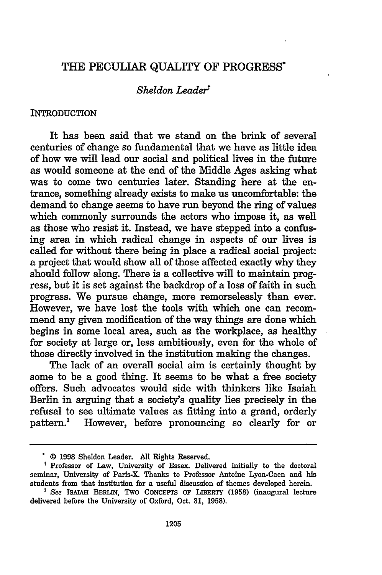# THE PECULIAR QUALITY OF PROGRESS\*

### *Sheldon Leader'*

### **INTRODUCTION**

It has been said that we stand on the brink of several centuries of change so fundamental that we have as little idea of how we will lead our social and political lives in the future as would someone at the end of the Middle Ages asking what was to come two centuries later. Standing here at the entrance, something already exists to make us uncomfortable: the demand to change seems to have run beyond the ring of values which commonly surrounds the actors who impose it, as well as those who resist it. Instead, we have stepped into a confusing area in which radical change in aspects of our lives is called for without there being in place a radical social project: a project that would show all of those affected exactly why they should follow along. There is a collective will to maintain progress, but it is set against the backdrop of a loss of faith in such progress. We pursue change, more remorselessly than ever. However, we have lost the tools with which one can recommend any given modification of the way things are done which begins in some local area, such as the workplace, as healthy for society at large or, less ambitiously, even for the whole of those directly involved in the institution making the changes.

The lack of an overall social aim is certainly thought by some to be a good thing. It seems to be what a free society offers. Such advocates would side with thinkers like Isaiah Berlin in arguing that a society's quality lies precisely in the refusal to see ultimate values as fitting into a grand, orderly pattern.1 However, before pronouncing so clearly for or

<sup>© 1998</sup> Sheldon Leader. All Rights Reserved.

<sup>&</sup>lt;sup>t</sup> Professor of Law, University of Essex. Delivered initially to the doctoral seminar, University of Paris-X. Thanks to Professor Antoine Lyon-Caen and his students from that institution for a useful discussion of themes developed herein.

*<sup>&#</sup>x27;* See **ISAIAH** BERLIN, TWO CONCEPTS OF LIBERTY (1958) (inaugural lecture delivered before the University of Oxford, Oct. 31, 1958).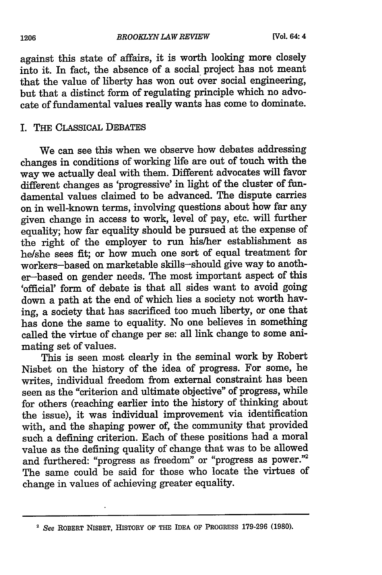against this state of affairs, it is worth looking more closely into it. In fact, the absence of a social project has not meant that the value of liberty has won out over social engineering, but that a distinct form of regulating principle which no advocate of fundamental values really wants has come to dominate.

# I. THE CLASSICAL DEBATES

We can see this when we observe how debates addressing changes in conditions of working life are out of touch with the way we actually deal with them. Different advocates will favor different changes as 'progressive' in light of the cluster of fundamental values claimed to be advanced. The dispute carries on in well-known terms, involving questions about how far any given change in access to work, level of pay, etc. will further equality; how far equality should be pursued at the expense of the right of the employer to run his/her establishment as he/she sees fit; or how much one sort of equal treatment for workers-based on marketable skills-should give way to another-based on gender needs. The most important aspect of this 'official' form of debate is that all sides want to avoid going down a path at the end of which lies a society not worth having, a society that has sacrificed too much liberty, or one that has done the same to equality. No one believes in something called the virtue of change per se: all link change to some animating set of values.

This is seen most clearly in the seminal work by Robert Nisbet on the history of the idea of progress. For some, he writes, individual freedom from external constraint has been seen as the "criterion and ultimate objective" of progress, while for others (reaching earlier into the history of thinking about the issue), it was individual improvement via identification with, and the shaping power of, the community that provided such a defining criterion. Each of these positions had a moral value as the defining quality of change that was to be allowed and furthered: "progress as freedom" or "progress as power."2 The same could be said for those who locate the virtues of change in values of achieving greater equality.

<sup>2</sup>*See* ROBERT NISBET, HISTORY OF THE IDEA OF PROGRESS **179-296 (1980).**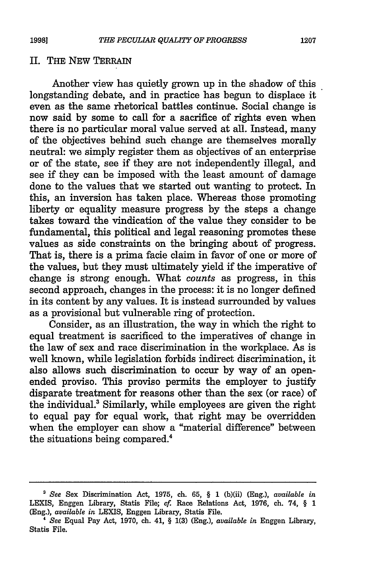#### II. THE NEW TERRAIN

Another view has quietly grown up in the shadow of this longstanding debate, and in practice has begun to displace it even as the same rhetorical battles continue. Social change is now said by some to call for a sacrifice of rights even when there is no particular moral value served at all. Instead, many of the objectives behind such change are themselves morally neutral: we simply register them as objectives of an enterprise or of the state, see if they are not independently illegal, and see if they can be imposed with the least amount of damage done to the values that we started out wanting to protect. In this, an inversion has taken place. Whereas those promoting liberty or equality measure progress by the steps a change takes toward the vindication of the value they consider to be fundamental, this political and legal reasoning promotes these values as side constraints on the bringing about of progress. That is, there is a prima facie claim in favor of one or more of the values, but they must ultimately yield if the imperative of change is strong enough. What *counts* as progress, in this second approach, changes in the process: it is no longer defined in its content by any values. It is instead surrounded by values as a provisional but vulnerable ring of protection.

Consider, as an illustration, the way in which the right to equal treatment is sacrificed to the imperatives of change in the law of sex and race discrimination in the workplace. As is well known, while legislation forbids indirect discrimination, it also allows such discrimination to occur by way of an openended proviso. This proviso permits the employer to justify disparate treatment for reasons other than the sex (or race) of the individual.' Similarly, while employees are given the right to equal pay for equal work, that right may be overridden when the employer can show a "material difference" between the situations being compared.<sup>4</sup>

*<sup>&#</sup>x27; See* Sex Discrimination Act, 1975, ch. 65, § 1 (b)(ii) (Eng.), *available in* LEXIS, Enggen Library, Statis File; cf. Race Relations Act, 1976, ch. 74, § 1 (Eng.), *available in* LEXIS, Enggen Library, Statis File.

**<sup>&#</sup>x27;** *See* Equal Pay Act, 1970, ch. 41, § 1(3) (Eng.), *available in* Enggen Library, Statis File.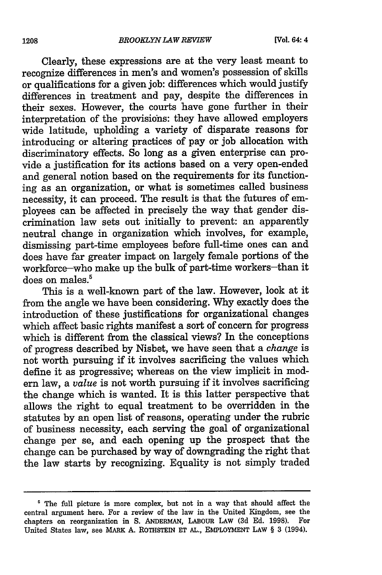Clearly, these expressions are at the very least meant to recognize differences in men's and women's possession of skills or qualifications for a given job: differences which would justify differences in treatment and pay, despite the differences in their sexes. However, the courts have gone further in their interpretation of the provisions: they have allowed employers wide latitude, upholding a variety of disparate reasons for introducing or altering practices of pay or job allocation with discriminatory effects. So long as a given enterprise can provide a justification for its actions based on a very open-ended and general notion based on the requirements for its functioning as an organization, or what is sometimes called business necessity, it can proceed. The result is that the futures of employees can be affected in precisely the way that gender discrimination law sets out initially to prevent: an apparently neutral change in organization which involves, for example, dismissing part-time employees before full-time ones can and does have far greater impact on largely female portions of the workforce-who make up the bulk of part-time workers-than it does on males.<sup>5</sup>

This is a well-known part of the law. However, look at it from the angle we have been considering. Why exactly does the introduction of these justifications for organizational changes which affect basic rights manifest a sort of concern for progress which is different from the classical views? In the conceptions of progress described by Nisbet, we have seen that a *change* is not worth pursuing if it involves sacrificing the values which define it as progressive; whereas on the view implicit in modern law, a *value* is not worth pursuing if it involves sacrificing the change which is wanted. It is this latter perspective that allows the right to equal treatment to be overridden in the statutes by an open list of reasons, operating under the rubric of business necessity, each serving the goal of organizational change per se, and each opening up the prospect that the change can be purchased by way of downgrading the right that the law starts by recognizing. Equality is not simply traded

**<sup>&#</sup>x27;** The full picture is more complex, but not in a way that should affect the central argument here. For a review of the law in the United Kingdom, see the chapters on reorganization in S. **ANDERMAN,** LABOUR LAW (3d Ed. 1998). For United States law, see MARK A. ROThSTEIN **ET AL.,** EMPLOYMENT LAW § **3** (1994).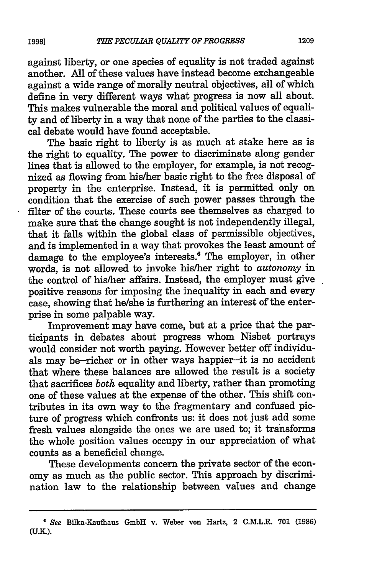against liberty, or one species of equality is not traded against another. All of these values have instead become exchangeable against a wide range of morally neutral objectives, all of which define in very different ways what progress is now all about. This makes vulnerable the moral and political values of equality and of liberty in a way that none of the parties to the classical debate would have found acceptable.

The basic right to liberty is as much at stake here as is the right to equality. The power to discriminate along gender lines that is allowed to the employer, for example, is not recognized as flowing from his/her basic right to the free disposal of property in the enterprise. Instead, it is permitted only on condition that the exercise of such power passes through the filter of the courts. These courts see themselves as charged to make sure that the change sought is not independently illegal, that it falls within the global class of permissible objectives, and is implemented in a way that provokes the least amount of damage to the employee's interests.' The employer, in other words, is not allowed to invoke his/her right to *autonomy* in the control of his/her affairs. Instead, the employer must give positive reasons for imposing the inequality in each and every case, showing that he/she is furthering an interest of the enterprise in some palpable way.

Improvement may have come, but at a price that the participants in debates about progress whom Nisbet portrays would consider not worth paying. However better off individuals may be-richer or in other ways happier-it is no accident that where these balances are allowed the result is a society that sacrifices *both* equality and liberty, rather than promoting one of these values at the expense of the other. This shift contributes in its own way to the fragmentary and confused picture of progress which confronts us: it does not just add some fresh values alongside the ones we are used to; it transforms the whole position values occupy in our appreciation of what counts as a beneficial change.

These developments concern the private sector of the economy as much as the public sector. This approach by discrimination law to the relationship between values and change

<sup>6</sup>*See* Bilka-Kaufhaus GmbH v. Weber von Hartz, 2 C.M.L.R. **701 (1986) (UM.).**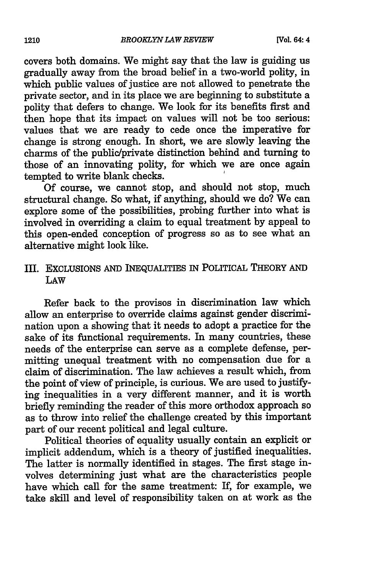covers both domains. We might say that the law is guiding us gradually away from the broad belief in a two-world polity, in which public values of justice are not allowed to penetrate the private sector, and in its place we are beginning to substitute a polity that defers to change. We look for its benefits first and then hope that its impact on values will not be too serious: values that we are ready to cede once the imperative for change is strong enough. In short, we are slowly leaving the charms of the public/private distinction behind and turning to those of an innovating polity, for which we are once again tempted to write blank checks.

Of course, we cannot stop, and should not stop, much structural change. So what, if anything, should we do? We can explore some of the possibilities, probing further into what is involved in overriding a claim to equal treatment by appeal to this open-ended conception of progress so as to see what an alternative might look like.

# III. EXCLUSIONS AND INEQUALITIES IN POLITICAL THEORY AND LAW

Refer back to the provisos in discrimination law which allow an enterprise to override claims against gender discrimination upon a showing that it needs to adopt a practice for the sake of its functional requirements. In many countries, these needs of the enterprise can serve as a complete defense, permitting unequal treatment with no compensation due for a claim of discrimination. The law achieves a result which, from the point of view of principle, is curious. We are used to justifying inequalities in a very different manner, and it is worth briefly reminding the reader of this more orthodox approach so as to throw into relief the challenge created by this important part of our recent political and legal culture.

Political theories of equality usually contain an explicit or implicit addendum, which is a theory of justified inequalities. The latter is normally identified in stages. The first stage involves determining just what are the characteristics people have which call for the same treatment: If, for example, we take skill and level of responsibility taken on at work as the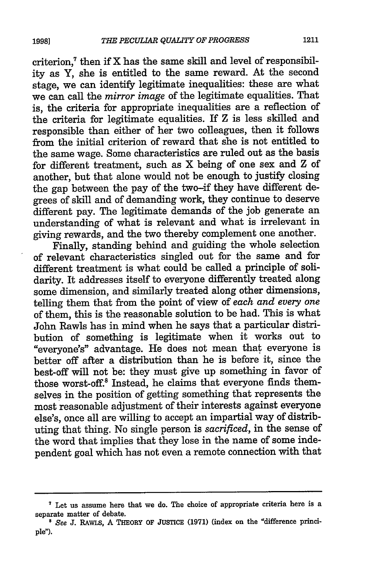criterion, $7$  then if X has the same skill and level of responsibility as Y, she is entitled to the same reward. At the second stage, we can identify legitimate inequalities: these are what we can call the *mirror image* of the legitimate equalities. That is, the criteria for appropriate inequalities are a reflection of the criteria for legitimate equalities. If Z is less skilled and responsible than either of her two colleagues, then it follows from the initial criterion of reward that she is not entitled to the same wage. Some characteristics are ruled out as the basis for different treatment, such as X being of one sex and Z of another, but that alone would not be enough to justify closing the gap between the pay of the two-if they have different degrees of skill and of demanding work, they continue to deserve different pay. The legitimate demands of the job generate an understanding of what is relevant and what is irrelevant in giving rewards, and the two thereby complement one another.

Finally, standing behind and guiding the whole selection of relevant characteristics singled out for the same and for different treatment is what could be called a principle of solidarity. It addresses itself to everyone differently treated along some dimension, and similarly treated along other dimensions, telling them that from the point of view of *each and every one* of them, this is the reasonable solution to be had. This is what John Rawls has in mind when he says that a particular distribution of something is legitimate when it works out to "everyone's" advantage. He does not mean that everyone is better off after a distribution than he is before it, since the best-off will not be: they must give up something in favor of those worst-off.8 Instead, he claims that everyone finds themselves in the position of getting something that represents the most reasonable adjustment of their interests against everyone else's, once all are willing to accept an impartial way of distributing that thing. No single person is *sacrificed,* in the sense of the word that implies that they lose in the name of some independent goal which has not even a remote connection with that

**<sup>&</sup>quot;** Let us assume here that we do. The choice of appropriate criteria here is a separate matter of debate. **s** *See* **J.** RAWLS, A **THEORY OF JUSTICE (1971)** (index on the "difference princi-

pie").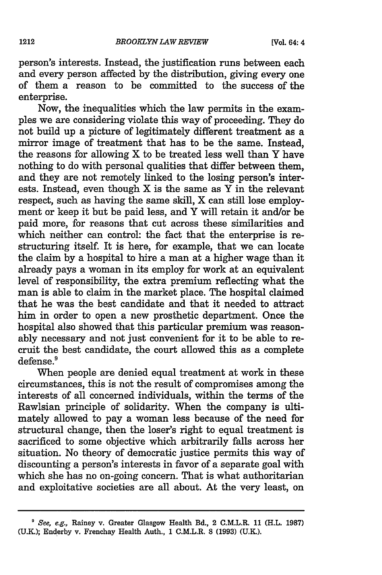person's interests. Instead, the justification runs between each and every person affected by the distribution, giving every one of them a reason to be committed to the success of the enterprise.

Now, the inequalities which the law permits in the examples we are considering violate this way of proceeding. They do not build up a picture of legitimately different treatment as a mirror image of treatment that has to be the same. Instead, the reasons for allowing X to be treated less well than Y have nothing to do with personal qualities that differ between them, and they are not remotely linked to the losing person's interests. Instead, even though  $X$  is the same as  $\overline{Y}$  in the relevant respect, such as having the same skill, X can still lose employment or keep it but be paid less, and Y will retain it and/or be paid more, for reasons that cut across these similarities and which neither can control: the fact that the enterprise is restructuring itself. It is here, for example, that we can locate the claim by a hospital to hire a man at a higher wage than it already pays a woman in its employ for work at an equivalent level of responsibility, the extra premium reflecting what the man is able to claim in the market place. The hospital claimed that he was the best candidate and that it needed to attract him in order to open a new prosthetic department. Once the hospital also showed that this particular premium was reasonably necessary and not just convenient for it to be able to recruit the best candidate, the court allowed this as a complete defense.<sup>9</sup>

When people are denied equal treatment at work in these circumstances, this is not the result of compromises among the interests of all concerned individuals, within the terms of the Rawlsian principle of solidarity. When the company is ultimately allowed to pay a woman less because of the need for structural change, then the loser's right to equal treatment is sacrificed to some objective which arbitrarily falls across her situation. No theory of democratic justice permits this way of discounting a person's interests in favor of a separate goal with which she has no on-going concern. That is what authoritarian and exploitative societies are all about. At the very least, on

*<sup>&#</sup>x27;* See, e.g., Rainey v. Greater Glasgow Health Bd., 2 C.M.L.R. **11** (H.L. **1987)** (U.K.); Enderby v. Frenchay Health Auth., 1 C.M.L.R. 8 (1993) (U.K.).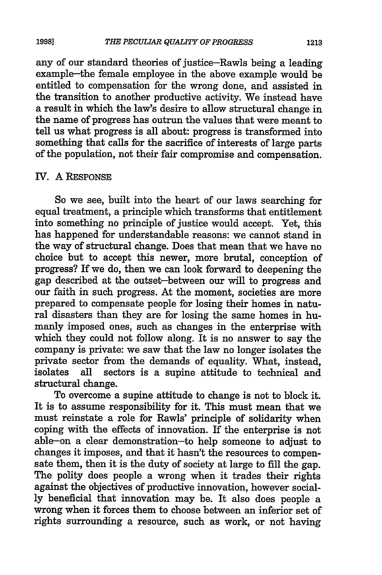any of our standard theories of justice-Rawls being a leading example-the female employee in the above example would be entitled to compensation for the wrong done, and assisted in the transition to another productive activity. We instead have a result in which the law's desire to allow structural change in the name of progress has outrun the values that were meant to tell us what progress is all about: progress is transformed into something that calls for the sacrifice of interests of large parts of the population, not their fair compromise and compensation.

#### IV. A RESPONSE

So we see, built into the heart of our laws searching for equal treatment, a principle which transforms that entitlement into something no principle of justice would accept. Yet, this has happened for understandable reasons: we cannot stand in the way of structural change. Does that mean that we have no choice but to accept this newer, more brutal, conception of progress? If we do, then we can look forward to deepening the gap described at the outset-between our will to progress and our faith in such progress. At the moment, societies are more prepared to compensate people for losing their homes in natural disasters than they are for losing the same homes in humanly imposed ones, such as changes in the enterprise with which they could not follow along. It is no answer to say the company is private: we saw that the law no longer isolates the private sector from the demands of equality. What, instead, isolates all sectors is a supine attitude to technical and structural change.

To overcome a supine attitude to change is not to block it. It is to assume responsibility for it. This must mean that we must reinstate a role for Rawls' principle of solidarity when coping with the effects of innovation. If the enterprise is not able--on a clear demonstration-to help someone to adjust to changes it imposes, and that it hasn't the resources to compensate them, then it is the duty of society at large to fill the gap. The polity does people a wrong when it trades their rights against the objectives of productive innovation, however socially beneficial that innovation may be. It also does people a wrong when it forces them to choose between an inferior set of rights surrounding a resource, such as work, or not having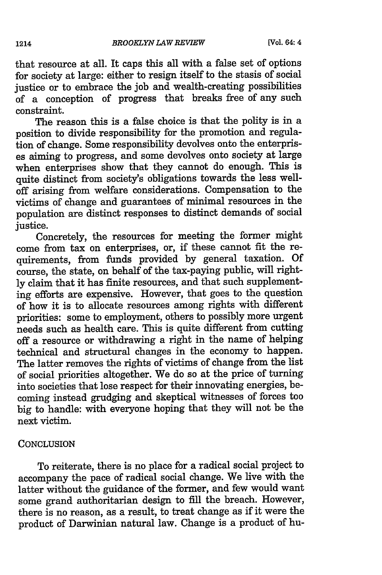that resource at all. It caps this all with a false set of options for society at large: either to resign itself to the stasis of social justice or to embrace the job and wealth-creating possibilities of a conception of progress that breaks free of any such constraint.

The reason this is a false choice is that the polity is in a position to divide responsibility for the promotion and regulation of change. Some responsibility devolves onto the enterprises aiming to progress, and some devolves onto society at large when enterprises show that they cannot do enough. This is quite distinct from society's obligations towards the less welloff arising from welfare considerations. Compensation to the victims of change and guarantees of minimal resources in the population are distinct responses to distinct demands of social justice.

Concretely, the resources for meeting the former might come from tax on enterprises, or, if these cannot fit the requirements, from funds provided by general taxation. Of course, the state, on behalf of the tax-paying public, will rightly claim that it has finite resources, and that such supplementing efforts are expensive. However, that goes to the question of how it is to allocate resources among rights with different priorities: some to employment, others to possibly more urgent needs such as health care. This is quite different from cutting off a resource or withdrawing a right in the name of helping technical and structural changes in the economy to happen. The latter removes the rights of victims of change from the list of social priorities altogether. We do so at the price of turning into societies that lose respect for their innovating energies, becoming instead grudging and skeptical witnesses of forces too big to handle: with everyone hoping that they will not be the next victim.

#### **CONCLUSION**

To reiterate, there is no place for a radical social project to accompany the pace of radical social change. We live with the latter without the guidance of the former, and few would want some grand authoritarian design to fill the breach. However, there is no reason, as a result, to treat change as if it were the product of Darwinian natural law. Change is a product of hu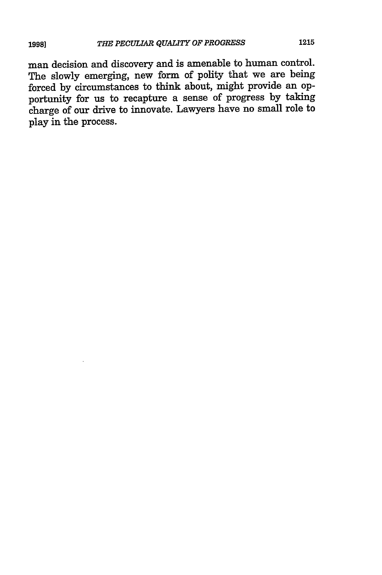man decision and discovery and is amenable to human control. The slowly emerging, new form of polity that we are being forced by circumstances to think about, might provide an opportunity for us to recapture a sense of progress by taking charge of our drive to innovate. Lawyers have no small role to play in the process.